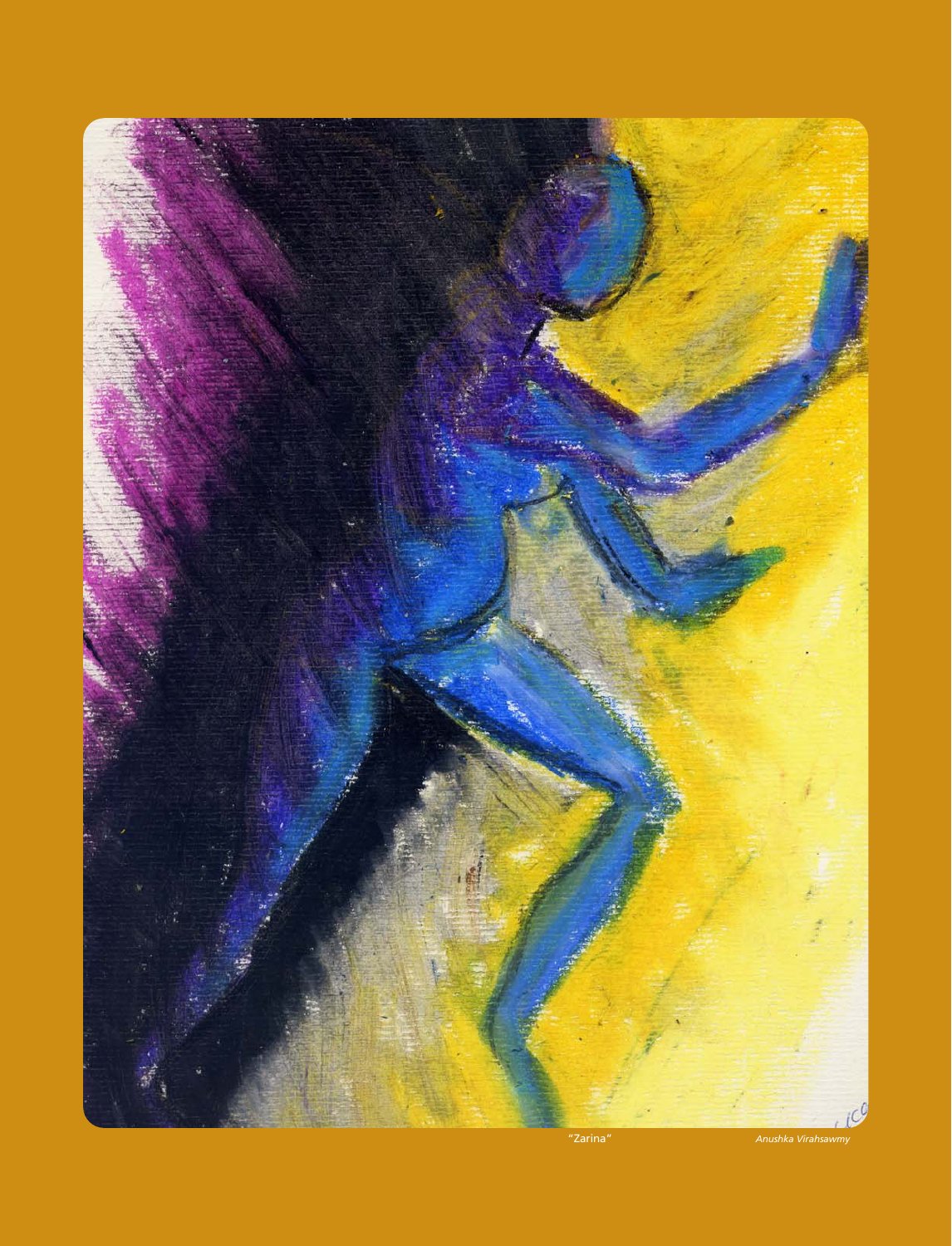

"Zarina" *Anushka Virahsawmy*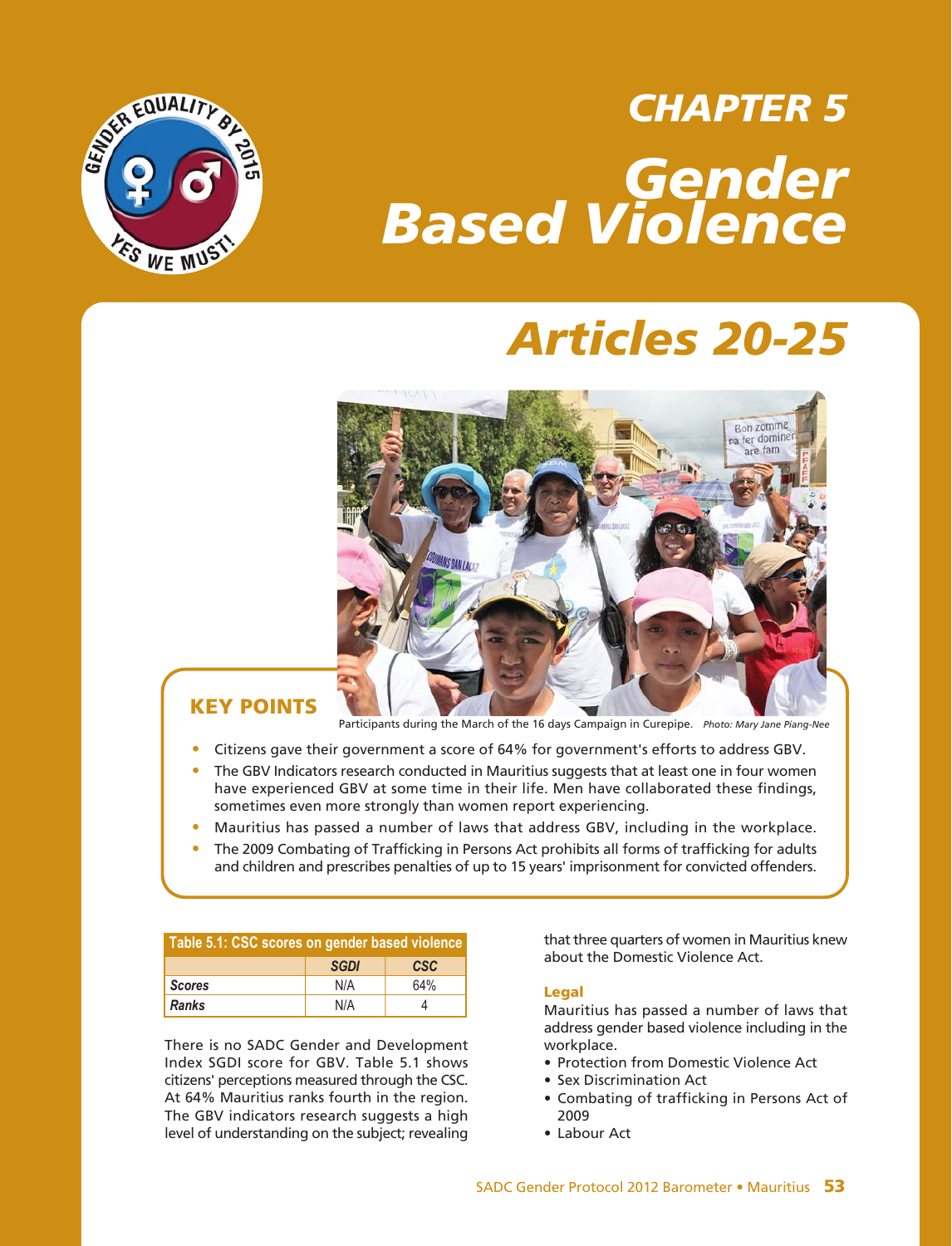

# *CHAPTER 5 Gender Based Violence*

# *Articles 20-25*



# **KEY POINTS**

Participants during the March of the 16 days Campaign in Curepipe. *Photo: Mary Jane Piang-Nee*

- **•** Citizens gave their government a score of 64% for government's efforts to address GBV.
- **•** The GBV Indicators research conducted in Mauritius suggests that at least one in four women have experienced GBV at some time in their life. Men have collaborated these findings, sometimes even more strongly than women report experiencing.
- **•** Mauritius has passed a number of laws that address GBV, including in the workplace.
- **•** The 2009 Combating of Trafficking in Persons Act prohibits all forms of trafficking for adults and children and prescribes penalties of up to 15 years' imprisonment for convicted offenders.

| Table 5.1: CSC scores on gender based violence |             |            |  |
|------------------------------------------------|-------------|------------|--|
|                                                | <b>SGDI</b> | <b>CSC</b> |  |
| <b>Scores</b>                                  | N/A         | 64%        |  |
| <b>Ranks</b>                                   | N/A         |            |  |

There is no SADC Gender and Development Index SGDI score for GBV. Table 5.1 shows citizens' perceptions measured through the CSC. At 64% Mauritius ranks fourth in the region. The GBV indicators research suggests a high level of understanding on the subject; revealing

that three quarters of women in Mauritius knew about the Domestic Violence Act.

#### **Legal**

Mauritius has passed a number of laws that address gender based violence including in the workplace.

- Protection from Domestic Violence Act
- Sex Discrimination Act
- Combating of trafficking in Persons Act of 2009
- Labour Act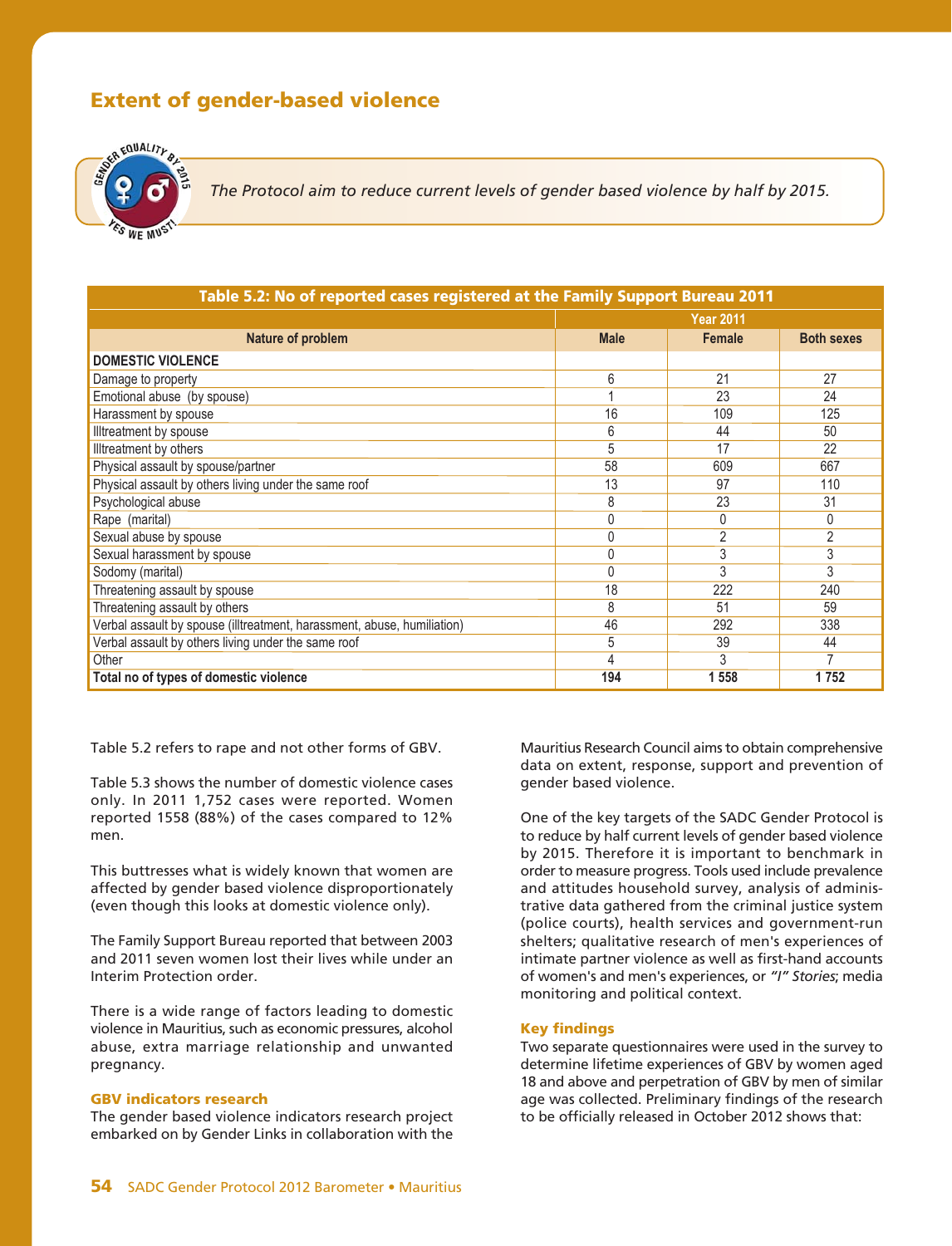# **Extent of gender-based violence**



*The Protocol aim to reduce current levels of gender based violence by half by 2015.*

| Table 5.2: No of reported cases registered at the Family Support Bureau 2011 |                  |                |                   |  |
|------------------------------------------------------------------------------|------------------|----------------|-------------------|--|
|                                                                              | <b>Year 2011</b> |                |                   |  |
| Nature of problem                                                            | <b>Male</b>      | <b>Female</b>  | <b>Both sexes</b> |  |
| <b>DOMESTIC VIOLENCE</b>                                                     |                  |                |                   |  |
| Damage to property                                                           | 6                | 21             | 27                |  |
| Emotional abuse (by spouse)                                                  |                  | 23             | 24                |  |
| Harassment by spouse                                                         | 16               | 109            | 125               |  |
| Illtreatment by spouse                                                       | 6                | 44             | 50                |  |
| Illtreatment by others                                                       | 5                | 17             | 22                |  |
| Physical assault by spouse/partner                                           | 58               | 609            | 667               |  |
| Physical assault by others living under the same roof                        | 13               | 97             | 110               |  |
| Psychological abuse                                                          | 8                | 23             | 31                |  |
| Rape (marital)                                                               | 0                | 0              | 0                 |  |
| Sexual abuse by spouse                                                       | $\Omega$         | $\overline{2}$ | $\overline{2}$    |  |
| Sexual harassment by spouse                                                  | 0                | 3              | 3                 |  |
| Sodomy (marital)                                                             | $\Omega$         | 3              | 3                 |  |
| Threatening assault by spouse                                                | 18               | 222            | 240               |  |
| Threatening assault by others                                                | 8                | 51             | 59                |  |
| Verbal assault by spouse (illtreatment, harassment, abuse, humiliation)      | 46               | 292            | 338               |  |
| Verbal assault by others living under the same roof                          | 5                | 39             | 44                |  |
| Other                                                                        | 4                | 3              | 7                 |  |
| Total no of types of domestic violence                                       | 194              | 1 558          | 1752              |  |

Table 5.2 refers to rape and not other forms of GBV.

Table 5.3 shows the number of domestic violence cases only. In 2011 1,752 cases were reported. Women reported 1558 (88%) of the cases compared to 12% men.

This buttresses what is widely known that women are affected by gender based violence disproportionately (even though this looks at domestic violence only).

The Family Support Bureau reported that between 2003 and 2011 seven women lost their lives while under an Interim Protection order.

There is a wide range of factors leading to domestic violence in Mauritius, such as economic pressures, alcohol abuse, extra marriage relationship and unwanted pregnancy.

## **GBV indicators research**

The gender based violence indicators research project embarked on by Gender Links in collaboration with the Mauritius Research Council aims to obtain comprehensive data on extent, response, support and prevention of gender based violence.

One of the key targets of the SADC Gender Protocol is to reduce by half current levels of gender based violence by 2015. Therefore it is important to benchmark in order to measure progress. Tools used include prevalence and attitudes household survey, analysis of administrative data gathered from the criminal justice system (police courts), health services and government-run shelters; qualitative research of men's experiences of intimate partner violence as well as first-hand accounts of women's and men's experiences, or *"I" Stories*; media monitoring and political context.

## **Key findings**

Two separate questionnaires were used in the survey to determine lifetime experiences of GBV by women aged 18 and above and perpetration of GBV by men of similar age was collected. Preliminary findings of the research to be officially released in October 2012 shows that: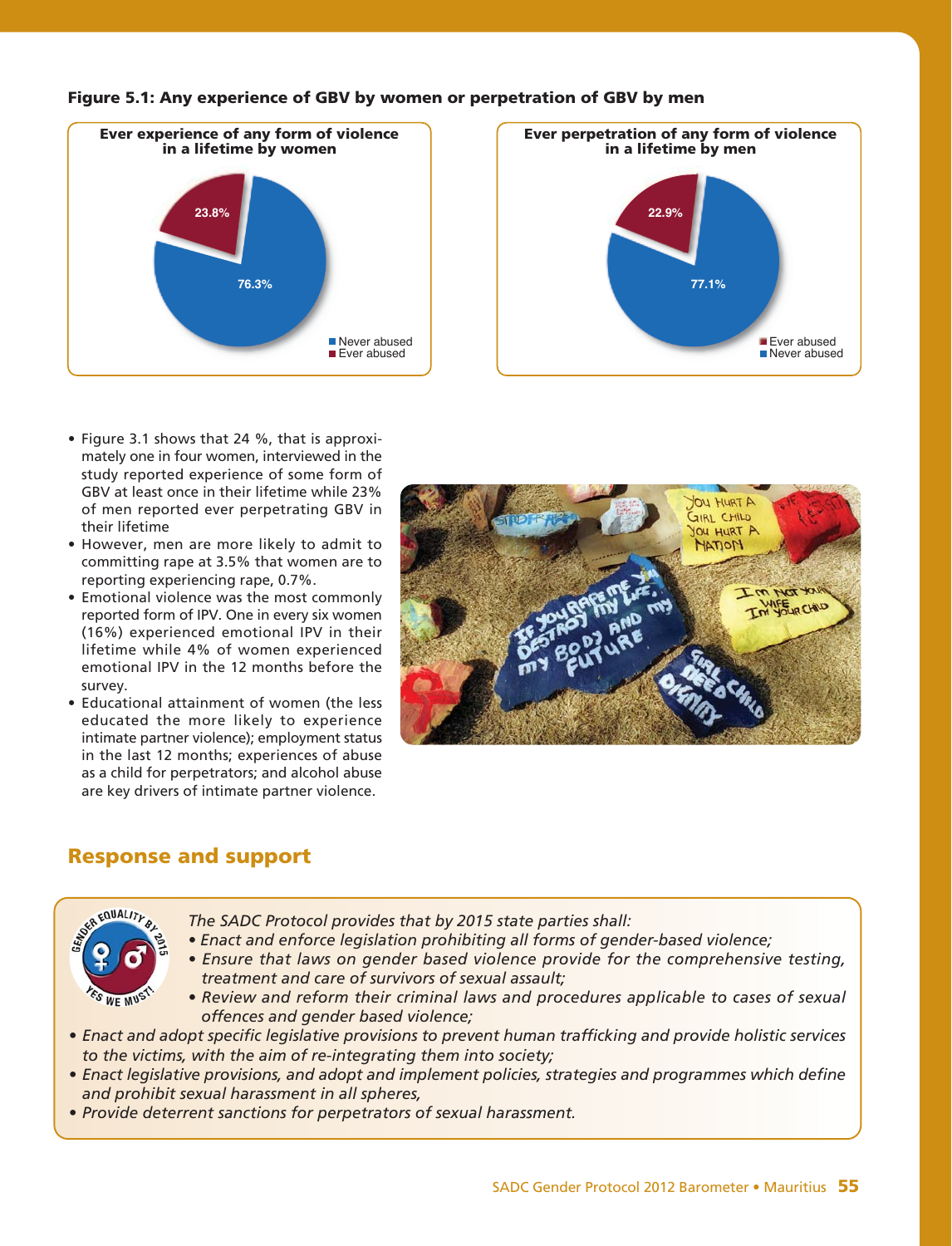



- Figure 3.1 shows that 24 %, that is approximately one in four women, interviewed in the study reported experience of some form of GBV at least once in their lifetime while 23% of men reported ever perpetrating GBV in their lifetime
- However, men are more likely to admit to committing rape at 3.5% that women are to reporting experiencing rape, 0.7%.
- Emotional violence was the most commonly reported form of IPV. One in every six women (16%) experienced emotional IPV in their lifetime while 4% of women experienced emotional IPV in the 12 months before the survey.
- Educational attainment of women (the less educated the more likely to experience intimate partner violence); employment status in the last 12 months; experiences of abuse as a child for perpetrators; and alcohol abuse are key drivers of intimate partner violence.



# **Response and support**



- *The SADC Protocol provides that by 2015 state parties shall:*
- *Enact and enforce legislation prohibiting all forms of gender-based violence;*
- *Ensure that laws on gender based violence provide for the comprehensive testing, treatment and care of survivors of sexual assault;*
- *Review and reform their criminal laws and procedures applicable to cases of sexual offences and gender based violence;*
- *Enact and adopt specific legislative provisions to prevent human trafficking and provide holistic services to the victims, with the aim of re-integrating them into society;*
- *Enact legislative provisions, and adopt and implement policies, strategies and programmes which define and prohibit sexual harassment in all spheres,*
- *Provide deterrent sanctions for perpetrators of sexual harassment.*

**Figure 5.1: Any experience of GBV by women or perpetration of GBV by men**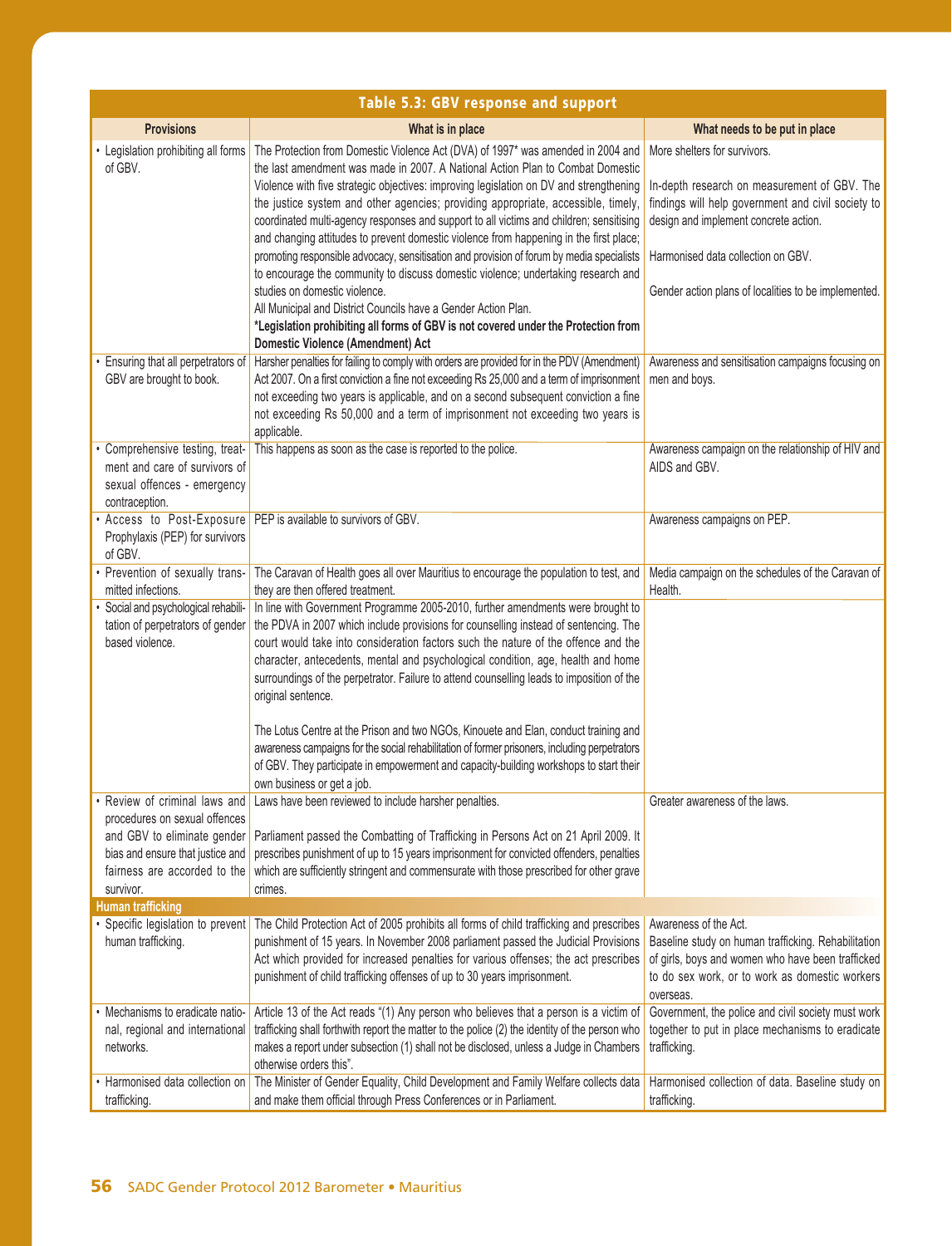| Table 5.3: GBV response and support                                                             |                                                                                                                                                                                                                                                                                                                                                                                                                                                                      |                                                                                                                                                                                                  |
|-------------------------------------------------------------------------------------------------|----------------------------------------------------------------------------------------------------------------------------------------------------------------------------------------------------------------------------------------------------------------------------------------------------------------------------------------------------------------------------------------------------------------------------------------------------------------------|--------------------------------------------------------------------------------------------------------------------------------------------------------------------------------------------------|
| <b>Provisions</b>                                                                               | What is in place                                                                                                                                                                                                                                                                                                                                                                                                                                                     | What needs to be put in place                                                                                                                                                                    |
| Legislation prohibiting all forms<br>of GBV.                                                    | The Protection from Domestic Violence Act (DVA) of 1997* was amended in 2004 and<br>the last amendment was made in 2007. A National Action Plan to Combat Domestic                                                                                                                                                                                                                                                                                                   | More shelters for survivors.                                                                                                                                                                     |
|                                                                                                 | Violence with five strategic objectives: improving legislation on DV and strengthening<br>the justice system and other agencies; providing appropriate, accessible, timely,<br>coordinated multi-agency responses and support to all victims and children; sensitising<br>and changing attitudes to prevent domestic violence from happening in the first place;                                                                                                     | In-depth research on measurement of GBV. The<br>findings will help government and civil society to<br>design and implement concrete action.                                                      |
|                                                                                                 | promoting responsible advocacy, sensitisation and provision of forum by media specialists<br>to encourage the community to discuss domestic violence; undertaking research and                                                                                                                                                                                                                                                                                       | Harmonised data collection on GBV.                                                                                                                                                               |
|                                                                                                 | studies on domestic violence.<br>All Municipal and District Councils have a Gender Action Plan.                                                                                                                                                                                                                                                                                                                                                                      | Gender action plans of localities to be implemented.                                                                                                                                             |
|                                                                                                 | *Legislation prohibiting all forms of GBV is not covered under the Protection from<br><b>Domestic Violence (Amendment) Act</b>                                                                                                                                                                                                                                                                                                                                       |                                                                                                                                                                                                  |
| Ensuring that all perpetrators of<br>GBV are brought to book.                                   | Harsher penalties for failing to comply with orders are provided for in the PDV (Amendment)<br>Act 2007. On a first conviction a fine not exceeding Rs 25,000 and a term of imprisonment<br>not exceeding two years is applicable, and on a second subsequent conviction a fine<br>not exceeding Rs 50,000 and a term of imprisonment not exceeding two years is                                                                                                     | Awareness and sensitisation campaigns focusing on<br>men and boys.                                                                                                                               |
| • Comprehensive testing, treat-<br>ment and care of survivors of<br>sexual offences - emergency | applicable.<br>This happens as soon as the case is reported to the police.                                                                                                                                                                                                                                                                                                                                                                                           | Awareness campaign on the relationship of HIV and<br>AIDS and GBV.                                                                                                                               |
| contraception.<br>Access to Post-Exposure                                                       | PEP is available to survivors of GBV.                                                                                                                                                                                                                                                                                                                                                                                                                                | Awareness campaigns on PEP.                                                                                                                                                                      |
| Prophylaxis (PEP) for survivors<br>of GBV.                                                      |                                                                                                                                                                                                                                                                                                                                                                                                                                                                      |                                                                                                                                                                                                  |
| Prevention of sexually trans-<br>mitted infections.                                             | The Caravan of Health goes all over Mauritius to encourage the population to test, and<br>they are then offered treatment.                                                                                                                                                                                                                                                                                                                                           | Media campaign on the schedules of the Caravan of<br>Health.                                                                                                                                     |
| Social and psychological rehabili-<br>tation of perpetrators of gender<br>based violence.       | In line with Government Programme 2005-2010, further amendments were brought to<br>the PDVA in 2007 which include provisions for counselling instead of sentencing. The<br>court would take into consideration factors such the nature of the offence and the<br>character, antecedents, mental and psychological condition, age, health and home<br>surroundings of the perpetrator. Failure to attend counselling leads to imposition of the<br>original sentence. |                                                                                                                                                                                                  |
|                                                                                                 | The Lotus Centre at the Prison and two NGOs, Kinouete and Elan, conduct training and<br>awareness campaigns for the social rehabilitation of former prisoners, including perpetrators<br>of GBV. They participate in empowerment and capacity-building workshops to start their<br>own business or get a job.                                                                                                                                                        |                                                                                                                                                                                                  |
| • Review of criminal laws and<br>procedures on sexual offences<br>and GBV to eliminate gender   | Laws have been reviewed to include harsher penalties.<br>Parliament passed the Combatting of Trafficking in Persons Act on 21 April 2009. It                                                                                                                                                                                                                                                                                                                         | Greater awareness of the laws.                                                                                                                                                                   |
| bias and ensure that justice and<br>fairness are accorded to the<br>survivor.                   | prescribes punishment of up to 15 years imprisonment for convicted offenders, penalties<br>which are sufficiently stringent and commensurate with those prescribed for other grave<br>crimes.                                                                                                                                                                                                                                                                        |                                                                                                                                                                                                  |
| <b>Human trafficking</b>                                                                        |                                                                                                                                                                                                                                                                                                                                                                                                                                                                      |                                                                                                                                                                                                  |
| human trafficking.                                                                              | Specific legislation to prevent The Child Protection Act of 2005 prohibits all forms of child trafficking and prescribes<br>punishment of 15 years. In November 2008 parliament passed the Judicial Provisions<br>Act which provided for increased penalties for various offenses; the act prescribes<br>punishment of child trafficking offenses of up to 30 years imprisonment.                                                                                    | Awareness of the Act.<br>Baseline study on human trafficking. Rehabilitation<br>of girls, boys and women who have been trafficked<br>to do sex work, or to work as domestic workers<br>overseas. |
| Mechanisms to eradicate natio-<br>nal, regional and international<br>networks.                  | Article 13 of the Act reads "(1) Any person who believes that a person is a victim of<br>trafficking shall forthwith report the matter to the police (2) the identity of the person who<br>makes a report under subsection (1) shall not be disclosed, unless a Judge in Chambers<br>otherwise orders this".                                                                                                                                                         | Government, the police and civil society must work<br>together to put in place mechanisms to eradicate<br>trafficking.                                                                           |
| • Harmonised data collection on<br>trafficking.                                                 | The Minister of Gender Equality, Child Development and Family Welfare collects data<br>and make them official through Press Conferences or in Parliament.                                                                                                                                                                                                                                                                                                            | Harmonised collection of data. Baseline study on<br>trafficking.                                                                                                                                 |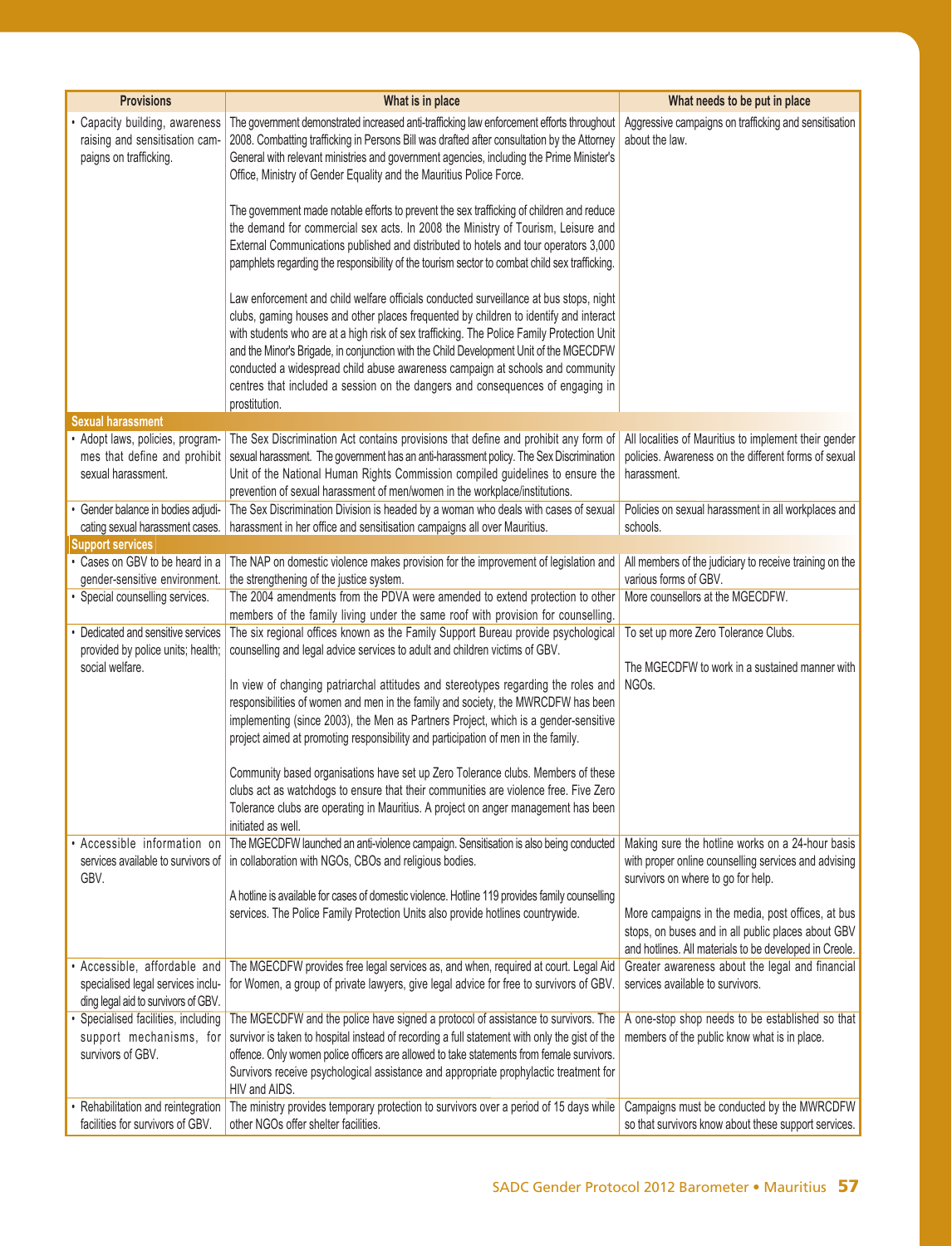| <b>Provisions</b>                                                                                      | What is in place                                                                                                                                                                                                                                                                                                                                                                                                                                                                                                                                             | What needs to be put in place                                                                                                                                     |
|--------------------------------------------------------------------------------------------------------|--------------------------------------------------------------------------------------------------------------------------------------------------------------------------------------------------------------------------------------------------------------------------------------------------------------------------------------------------------------------------------------------------------------------------------------------------------------------------------------------------------------------------------------------------------------|-------------------------------------------------------------------------------------------------------------------------------------------------------------------|
| Capacity building, awareness<br>raising and sensitisation cam-<br>paigns on trafficking.               | The government demonstrated increased anti-trafficking law enforcement efforts throughout<br>2008. Combatting trafficking in Persons Bill was drafted after consultation by the Attorney<br>General with relevant ministries and government agencies, including the Prime Minister's<br>Office, Ministry of Gender Equality and the Mauritius Police Force.                                                                                                                                                                                                  | Aggressive campaigns on trafficking and sensitisation<br>about the law.                                                                                           |
|                                                                                                        | The government made notable efforts to prevent the sex trafficking of children and reduce<br>the demand for commercial sex acts. In 2008 the Ministry of Tourism, Leisure and<br>External Communications published and distributed to hotels and tour operators 3,000<br>pamphlets regarding the responsibility of the tourism sector to combat child sex trafficking.                                                                                                                                                                                       |                                                                                                                                                                   |
|                                                                                                        | Law enforcement and child welfare officials conducted surveillance at bus stops, night<br>clubs, gaming houses and other places frequented by children to identify and interact<br>with students who are at a high risk of sex trafficking. The Police Family Protection Unit<br>and the Minor's Brigade, in conjunction with the Child Development Unit of the MGECDFW<br>conducted a widespread child abuse awareness campaign at schools and community<br>centres that included a session on the dangers and consequences of engaging in<br>prostitution. |                                                                                                                                                                   |
| <b>Sexual harassment</b>                                                                               |                                                                                                                                                                                                                                                                                                                                                                                                                                                                                                                                                              |                                                                                                                                                                   |
| Adopt laws, policies, program-<br>mes that define and prohibit<br>sexual harassment.                   | The Sex Discrimination Act contains provisions that define and prohibit any form of<br>sexual harassment. The government has an anti-harassment policy. The Sex Discrimination<br>Unit of the National Human Rights Commission compiled guidelines to ensure the<br>prevention of sexual harassment of men/women in the workplace/institutions.                                                                                                                                                                                                              | All localities of Mauritius to implement their gender<br>policies. Awareness on the different forms of sexual<br>harassment.                                      |
| Gender balance in bodies adjudi-<br>cating sexual harassment cases.                                    | The Sex Discrimination Division is headed by a woman who deals with cases of sexual<br>harassment in her office and sensitisation campaigns all over Mauritius.                                                                                                                                                                                                                                                                                                                                                                                              | Policies on sexual harassment in all workplaces and<br>schools.                                                                                                   |
| <b>Support services</b>                                                                                |                                                                                                                                                                                                                                                                                                                                                                                                                                                                                                                                                              |                                                                                                                                                                   |
| Cases on GBV to be heard in a                                                                          | The NAP on domestic violence makes provision for the improvement of legislation and                                                                                                                                                                                                                                                                                                                                                                                                                                                                          | All members of the judiciary to receive training on the                                                                                                           |
| gender-sensitive environment.                                                                          | the strengthening of the justice system.                                                                                                                                                                                                                                                                                                                                                                                                                                                                                                                     | various forms of GBV.                                                                                                                                             |
| Special counselling services.                                                                          | The 2004 amendments from the PDVA were amended to extend protection to other<br>members of the family living under the same roof with provision for counselling.                                                                                                                                                                                                                                                                                                                                                                                             | More counsellors at the MGECDFW.                                                                                                                                  |
| Dedicated and sensitive services<br>provided by police units; health;                                  | The six regional offices known as the Family Support Bureau provide psychological<br>counselling and legal advice services to adult and children victims of GBV.                                                                                                                                                                                                                                                                                                                                                                                             | To set up more Zero Tolerance Clubs.                                                                                                                              |
| social welfare.                                                                                        | In view of changing patriarchal attitudes and stereotypes regarding the roles and<br>responsibilities of women and men in the family and society, the MWRCDFW has been<br>implementing (since 2003), the Men as Partners Project, which is a gender-sensitive<br>project aimed at promoting responsibility and participation of men in the family.                                                                                                                                                                                                           | The MGECDFW to work in a sustained manner with<br>NGOs.                                                                                                           |
|                                                                                                        | Community based organisations have set up Zero Tolerance clubs. Members of these                                                                                                                                                                                                                                                                                                                                                                                                                                                                             |                                                                                                                                                                   |
|                                                                                                        | clubs act as watchdogs to ensure that their communities are violence free. Five Zero<br>Tolerance clubs are operating in Mauritius. A project on anger management has been<br>initiated as well.                                                                                                                                                                                                                                                                                                                                                             |                                                                                                                                                                   |
| Accessible information on<br>services available to survivors of<br>GBV.                                | The MGECDFW launched an anti-violence campaign. Sensitisation is also being conducted<br>in collaboration with NGOs, CBOs and religious bodies.                                                                                                                                                                                                                                                                                                                                                                                                              | Making sure the hotline works on a 24-hour basis<br>with proper online counselling services and advising<br>survivors on where to go for help.                    |
|                                                                                                        | A hotline is available for cases of domestic violence. Hotline 119 provides family counselling<br>services. The Police Family Protection Units also provide hotlines countrywide.                                                                                                                                                                                                                                                                                                                                                                            | More campaigns in the media, post offices, at bus<br>stops, on buses and in all public places about GBV<br>and hotlines. All materials to be developed in Creole. |
| Accessible, affordable and<br>specialised legal services inclu-<br>ding legal aid to survivors of GBV. | The MGECDFW provides free legal services as, and when, required at court. Legal Aid<br>for Women, a group of private lawyers, give legal advice for free to survivors of GBV.                                                                                                                                                                                                                                                                                                                                                                                | Greater awareness about the legal and financial<br>services available to survivors.                                                                               |
| Specialised facilities, including<br>support mechanisms, for<br>survivors of GBV.                      | The MGECDFW and the police have signed a protocol of assistance to survivors. The<br>survivor is taken to hospital instead of recording a full statement with only the gist of the<br>offence. Only women police officers are allowed to take statements from female survivors.<br>Survivors receive psychological assistance and appropriate prophylactic treatment for<br>HIV and AIDS.                                                                                                                                                                    | A one-stop shop needs to be established so that<br>members of the public know what is in place.                                                                   |
| Rehabilitation and reintegration<br>facilities for survivors of GBV.                                   | The ministry provides temporary protection to survivors over a period of 15 days while<br>other NGOs offer shelter facilities.                                                                                                                                                                                                                                                                                                                                                                                                                               | Campaigns must be conducted by the MWRCDFW<br>so that survivors know about these support services.                                                                |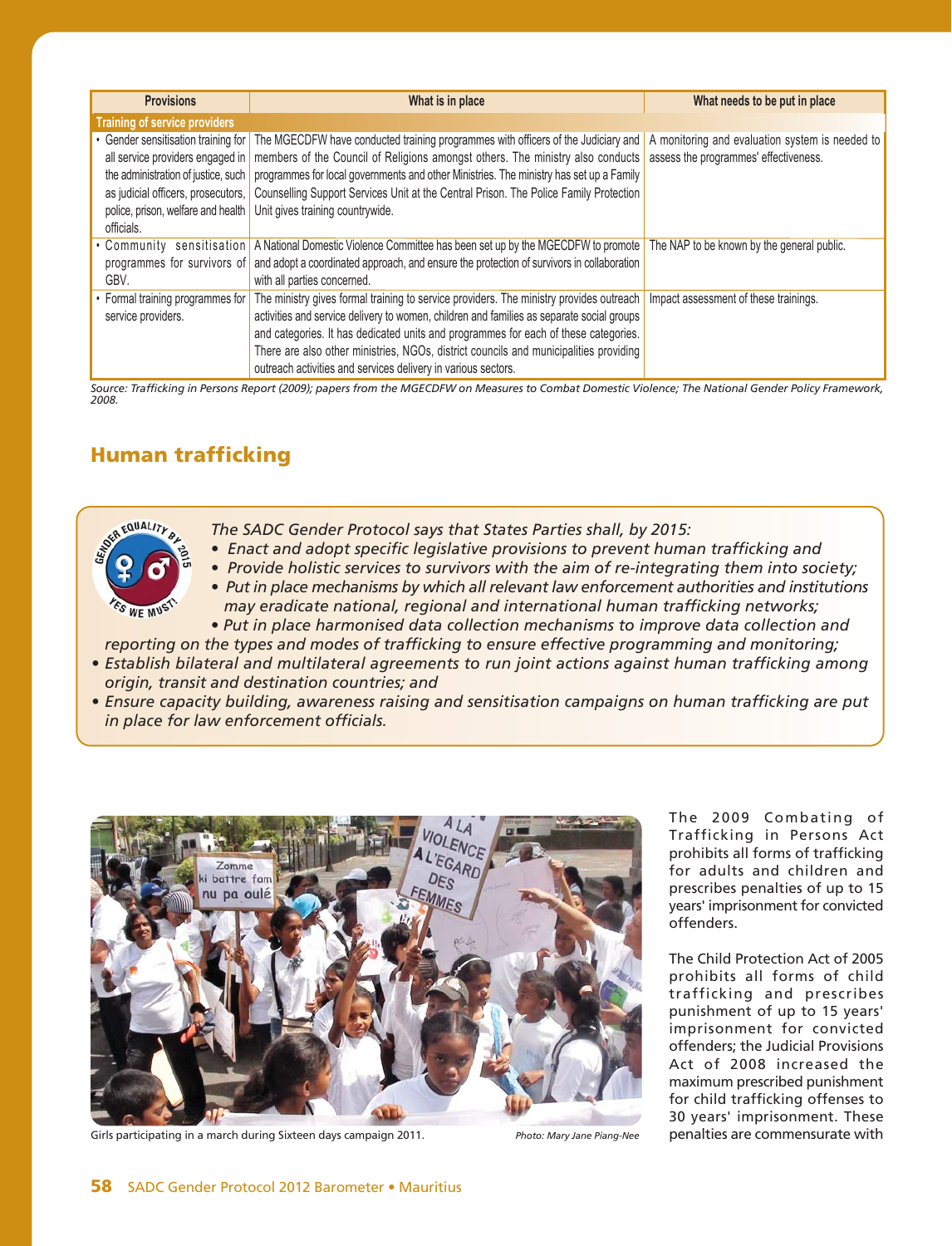| <b>Provisions</b>                                                                                                                                                                                        | What is in place                                                                                                                                                                                                                                                                                                                                                                                                                                                                    | What needs to be put in place              |
|----------------------------------------------------------------------------------------------------------------------------------------------------------------------------------------------------------|-------------------------------------------------------------------------------------------------------------------------------------------------------------------------------------------------------------------------------------------------------------------------------------------------------------------------------------------------------------------------------------------------------------------------------------------------------------------------------------|--------------------------------------------|
| <b>Training of service providers</b>                                                                                                                                                                     |                                                                                                                                                                                                                                                                                                                                                                                                                                                                                     |                                            |
| • Gender sensitisation training for<br>all service providers engaged in<br>the administration of justice, such<br>as judicial officers, prosecutors,<br>police, prison, welfare and health<br>officials. | The MGECDFW have conducted training programmes with officers of the Judiciary and   A monitoring and evaluation system is needed to<br>members of the Council of Religions amongst others. The ministry also conducts assess the programmes' effectiveness.<br>programmes for local governments and other Ministries. The ministry has set up a Family<br>Counselling Support Services Unit at the Central Prison. The Police Family Protection<br>Unit gives training countrywide. |                                            |
| GBV.                                                                                                                                                                                                     | • Community sensitisation   A National Domestic Violence Committee has been set up by the MGECDFW to promote<br>programmes for survivors of and adopt a coordinated approach, and ensure the protection of survivors in collaboration<br>with all parties concerned.                                                                                                                                                                                                                | The NAP to be known by the general public. |
| • Formal training programmes for<br>service providers.                                                                                                                                                   | The ministry gives formal training to service providers. The ministry provides outreach<br>activities and service delivery to women, children and families as separate social groups<br>and categories. It has dedicated units and programmes for each of these categories.<br>There are also other ministries, NGOs, district councils and municipalities providing<br>outreach activities and services delivery in various sectors.                                               | Impact assessment of these trainings.      |

*Source: Trafficking in Persons Report (2009); papers from the MGECDFW on Measures to Combat Domestic Violence; The National Gender Policy Framework, 2008.*

# **Human trafficking**



- *The SADC Gender Protocol says that States Parties shall, by 2015:*
- *Enact and adopt specific legislative provisions to prevent human trafficking and*
- *Provide holistic services to survivors with the aim of re-integrating them into society;*
- *Put in place mechanisms by which all relevant law enforcement authorities and institutions*

 *may eradicate national, regional and international human trafficking networks; • Put in place harmonised data collection mechanisms to improve data collection and*

*reporting on the types and modes of trafficking to ensure effective programming and monitoring; • Establish bilateral and multilateral agreements to run joint actions against human trafficking among origin, transit and destination countries; and*

*• Ensure capacity building, awareness raising and sensitisation campaigns on human trafficking are put in place for law enforcement officials.*



Girls participating in a march during Sixteen days campaign 2011. *Photo: Mary Jane Piang-Nee*

The 2009 Combating of Trafficking in Persons Act prohibits all forms of trafficking for adults and children and prescribes penalties of up to 15 years' imprisonment for convicted offenders.

The Child Protection Act of 2005 prohibits all forms of child trafficking and prescribes punishment of up to 15 years' imprisonment for convicted offenders; the Judicial Provisions Act of 2008 increased the maximum prescribed punishment for child trafficking offenses to 30 years' imprisonment. These penalties are commensurate with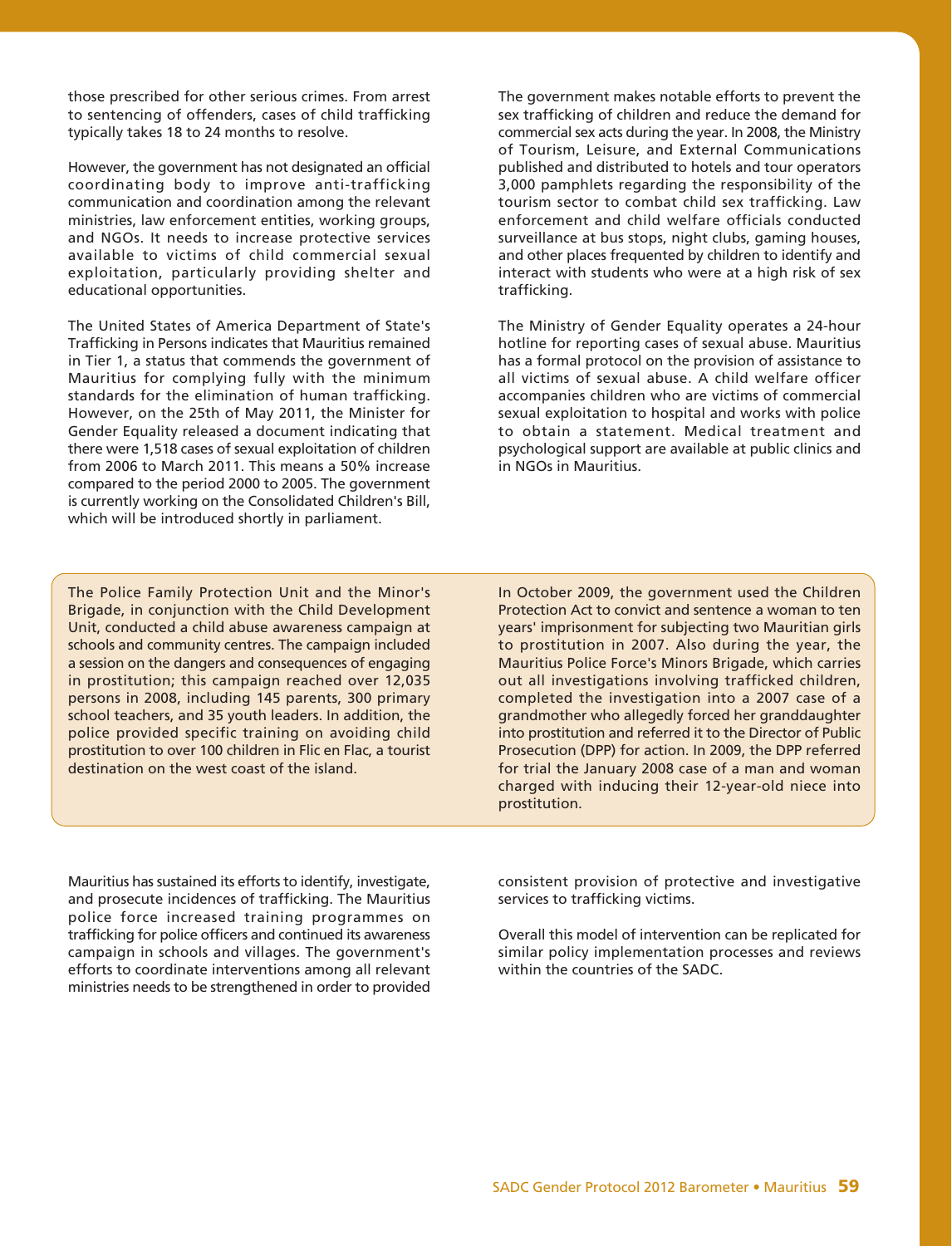those prescribed for other serious crimes. From arrest to sentencing of offenders, cases of child trafficking typically takes 18 to 24 months to resolve.

However, the government has not designated an official coordinating body to improve anti-trafficking communication and coordination among the relevant ministries, law enforcement entities, working groups, and NGOs. It needs to increase protective services available to victims of child commercial sexual exploitation, particularly providing shelter and educational opportunities.

The United States of America Department of State's Trafficking in Persons indicates that Mauritius remained in Tier 1, a status that commends the government of Mauritius for complying fully with the minimum standards for the elimination of human trafficking. However, on the 25th of May 2011, the Minister for Gender Equality released a document indicating that there were 1,518 cases of sexual exploitation of children from 2006 to March 2011. This means a 50% increase compared to the period 2000 to 2005. The government is currently working on the Consolidated Children's Bill, which will be introduced shortly in parliament.

The government makes notable efforts to prevent the sex trafficking of children and reduce the demand for commercial sex acts during the year. In 2008, the Ministry of Tourism, Leisure, and External Communications published and distributed to hotels and tour operators 3,000 pamphlets regarding the responsibility of the tourism sector to combat child sex trafficking. Law enforcement and child welfare officials conducted surveillance at bus stops, night clubs, gaming houses, and other places frequented by children to identify and interact with students who were at a high risk of sex trafficking.

The Ministry of Gender Equality operates a 24-hour hotline for reporting cases of sexual abuse. Mauritius has a formal protocol on the provision of assistance to all victims of sexual abuse. A child welfare officer accompanies children who are victims of commercial sexual exploitation to hospital and works with police to obtain a statement. Medical treatment and psychological support are available at public clinics and in NGOs in Mauritius.

The Police Family Protection Unit and the Minor's Brigade, in conjunction with the Child Development Unit, conducted a child abuse awareness campaign at schools and community centres. The campaign included a session on the dangers and consequences of engaging in prostitution; this campaign reached over 12,035 persons in 2008, including 145 parents, 300 primary school teachers, and 35 youth leaders. In addition, the police provided specific training on avoiding child prostitution to over 100 children in Flic en Flac, a tourist destination on the west coast of the island.

In October 2009, the government used the Children Protection Act to convict and sentence a woman to ten years' imprisonment for subjecting two Mauritian girls to prostitution in 2007. Also during the year, the Mauritius Police Force's Minors Brigade, which carries out all investigations involving trafficked children, completed the investigation into a 2007 case of a grandmother who allegedly forced her granddaughter into prostitution and referred it to the Director of Public Prosecution (DPP) for action. In 2009, the DPP referred for trial the January 2008 case of a man and woman charged with inducing their 12-year-old niece into prostitution.

Mauritius has sustained its efforts to identify, investigate, and prosecute incidences of trafficking. The Mauritius police force increased training programmes on trafficking for police officers and continued its awareness campaign in schools and villages. The government's efforts to coordinate interventions among all relevant ministries needs to be strengthened in order to provided

consistent provision of protective and investigative services to trafficking victims.

Overall this model of intervention can be replicated for similar policy implementation processes and reviews within the countries of the SADC.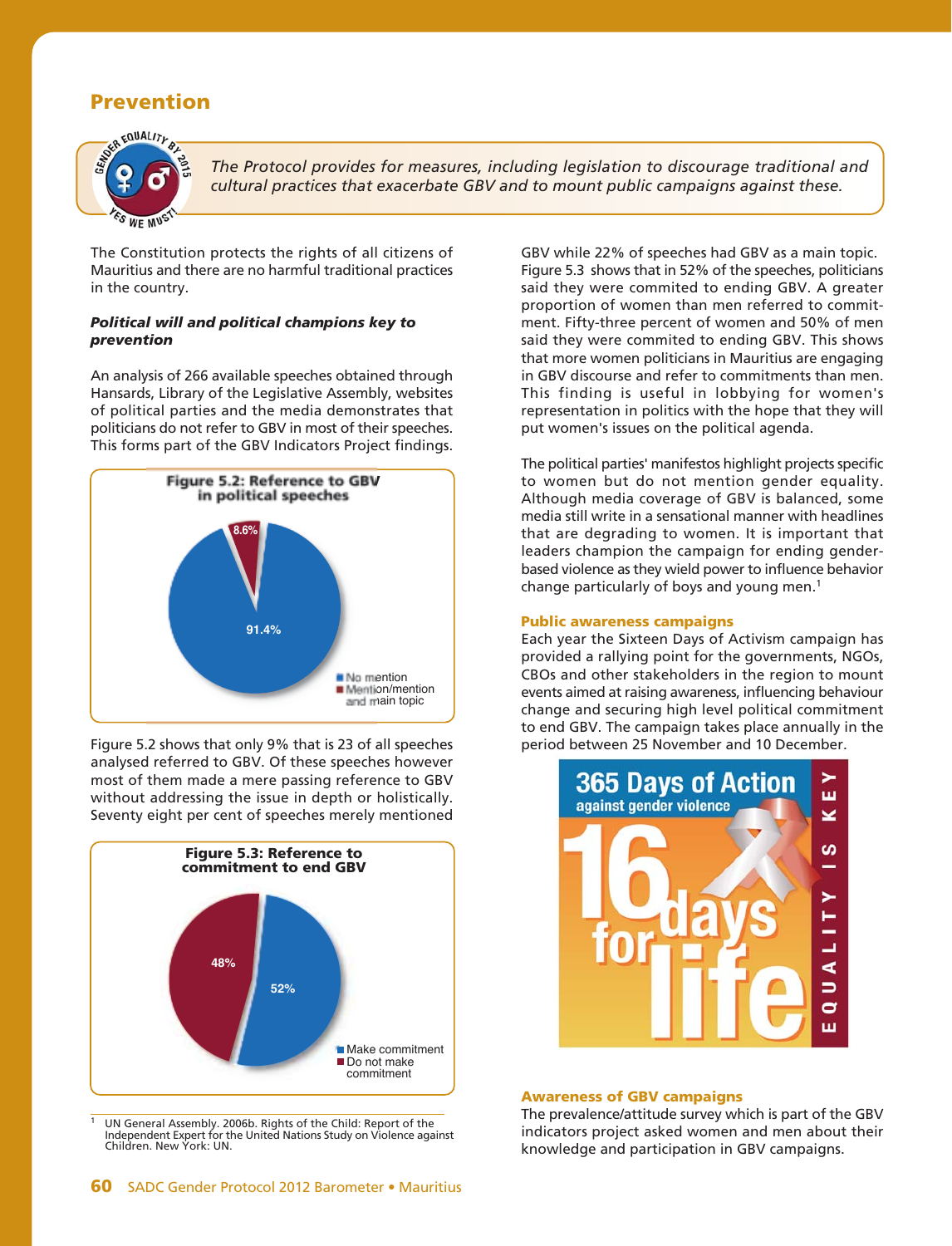# **Prevention**



*The Protocol provides for measures, including legislation to discourage traditional and cultural practices that exacerbate GBV and to mount public campaigns against these.*

The Constitution protects the rights of all citizens of Mauritius and there are no harmful traditional practices in the country.

# *Political will and political champions key to prevention*

An analysis of 266 available speeches obtained through Hansards, Library of the Legislative Assembly, websites of political parties and the media demonstrates that politicians do not refer to GBV in most of their speeches. This forms part of the GBV Indicators Project findings.



Figure 5.2 shows that only 9% that is 23 of all speeches analysed referred to GBV. Of these speeches however most of them made a mere passing reference to GBV without addressing the issue in depth or holistically. Seventy eight per cent of speeches merely mentioned



1 UN General Assembly. 2006b. Rights of the Child: Report of the Independent Expert for the United Nations Study on Violence against Children. New York: UN.

GBV while 22% of speeches had GBV as a main topic. Figure 5.3 shows that in 52% of the speeches, politicians said they were commited to ending GBV. A greater proportion of women than men referred to commitment. Fifty-three percent of women and 50% of men said they were commited to ending GBV. This shows that more women politicians in Mauritius are engaging in GBV discourse and refer to commitments than men. This finding is useful in lobbying for women's representation in politics with the hope that they will put women's issues on the political agenda.

The political parties' manifestos highlight projects specific to women but do not mention gender equality. Although media coverage of GBV is balanced, some media still write in a sensational manner with headlines that are degrading to women. It is important that leaders champion the campaign for ending genderbased violence as they wield power to influence behavior change particularly of boys and young men.1

# **Public awareness campaigns**

Each year the Sixteen Days of Activism campaign has provided a rallying point for the governments, NGOs, CBOs and other stakeholders in the region to mount events aimed at raising awareness, influencing behaviour change and securing high level political commitment to end GBV. The campaign takes place annually in the period between 25 November and 10 December.



## **Awareness of GBV campaigns**

The prevalence/attitude survey which is part of the GBV indicators project asked women and men about their knowledge and participation in GBV campaigns.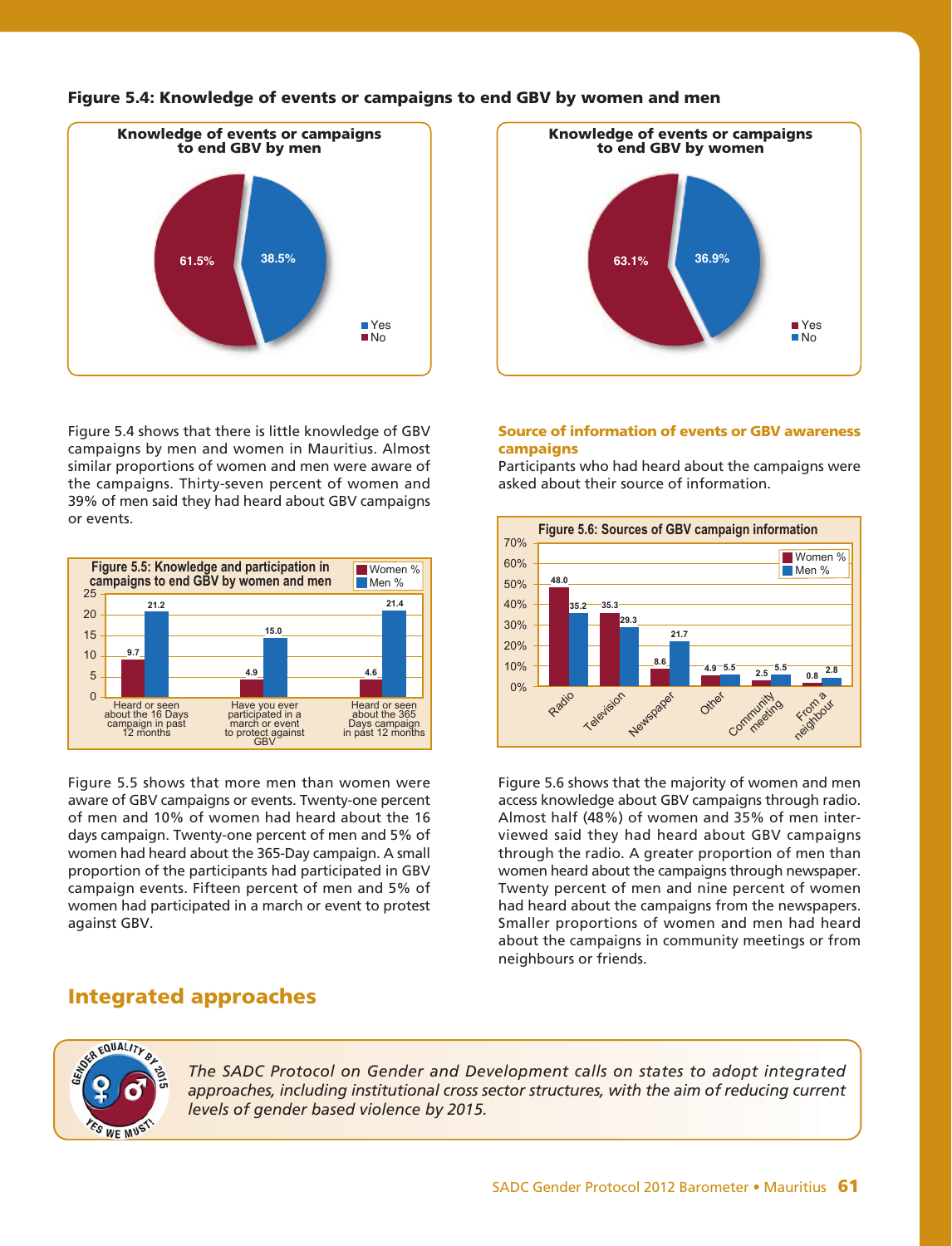

Figure 5.4 shows that there is little knowledge of GBV campaigns by men and women in Mauritius. Almost similar proportions of women and men were aware of the campaigns. Thirty-seven percent of women and 39% of men said they had heard about GBV campaigns or events.



Figure 5.5 shows that more men than women were aware of GBV campaigns or events. Twenty-one percent of men and 10% of women had heard about the 16 days campaign. Twenty-one percent of men and 5% of women had heard about the 365-Day campaign. A small proportion of the participants had participated in GBV campaign events. Fifteen percent of men and 5% of women had participated in a march or event to protest against GBV.

# **Integrated approaches**



# **Source of information of events or GBV awareness campaigns**

Participants who had heard about the campaigns were asked about their source of information.



Figure 5.6 shows that the majority of women and men access knowledge about GBV campaigns through radio. Almost half (48%) of women and 35% of men interviewed said they had heard about GBV campaigns through the radio. A greater proportion of men than women heard about the campaigns through newspaper. Twenty percent of men and nine percent of women had heard about the campaigns from the newspapers. Smaller proportions of women and men had heard about the campaigns in community meetings or from neighbours or friends.



*The SADC Protocol on Gender and Development calls on states to adopt integrated approaches, including institutional cross sector structures, with the aim of reducing current levels of gender based violence by 2015.*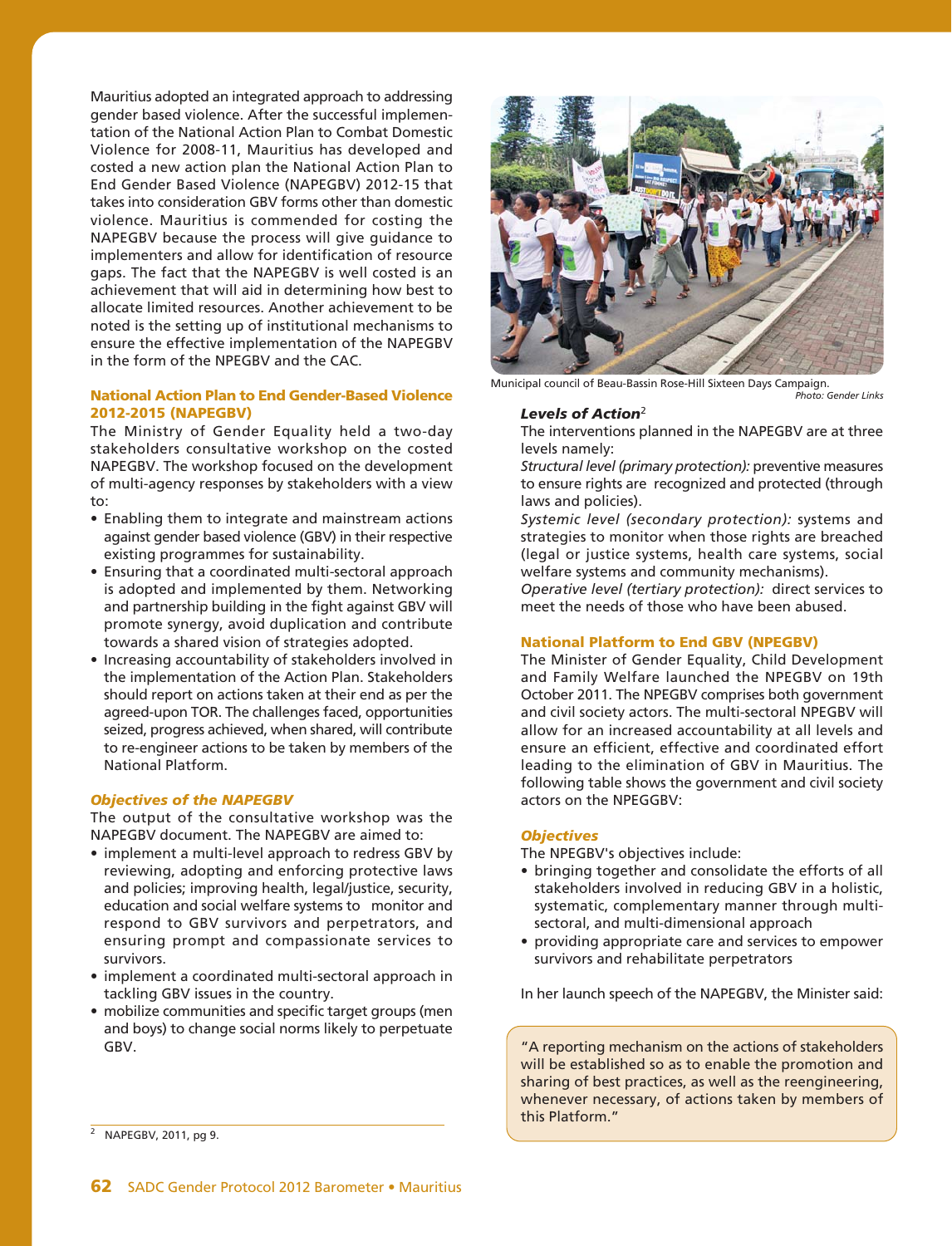Mauritius adopted an integrated approach to addressing gender based violence. After the successful implementation of the National Action Plan to Combat Domestic Violence for 2008-11, Mauritius has developed and costed a new action plan the National Action Plan to End Gender Based Violence (NAPEGBV) 2012-15 that takes into consideration GBV forms other than domestic violence. Mauritius is commended for costing the NAPEGBV because the process will give guidance to implementers and allow for identification of resource gaps. The fact that the NAPEGBV is well costed is an achievement that will aid in determining how best to allocate limited resources. Another achievement to be noted is the setting up of institutional mechanisms to ensure the effective implementation of the NAPEGBV in the form of the NPEGBV and the CAC.

# **National Action Plan to End Gender-Based Violence 2012-2015 (NAPEGBV)**

The Ministry of Gender Equality held a two-day stakeholders consultative workshop on the costed NAPEGBV. The workshop focused on the development of multi-agency responses by stakeholders with a view to:

- Enabling them to integrate and mainstream actions against gender based violence (GBV) in their respective existing programmes for sustainability.
- Ensuring that a coordinated multi-sectoral approach is adopted and implemented by them. Networking and partnership building in the fight against GBV will promote synergy, avoid duplication and contribute towards a shared vision of strategies adopted.
- Increasing accountability of stakeholders involved in the implementation of the Action Plan. Stakeholders should report on actions taken at their end as per the agreed-upon TOR. The challenges faced, opportunities seized, progress achieved, when shared, will contribute to re-engineer actions to be taken by members of the National Platform.

# *Objectives of the NAPEGBV*

The output of the consultative workshop was the NAPEGBV document. The NAPEGBV are aimed to:

- implement a multi-level approach to redress GBV by reviewing, adopting and enforcing protective laws and policies; improving health, legal/justice, security, education and social welfare systems to monitor and respond to GBV survivors and perpetrators, and ensuring prompt and compassionate services to survivors.
- implement a coordinated multi-sectoral approach in tackling GBV issues in the country.
- mobilize communities and specific target groups (men and boys) to change social norms likely to perpetuate GBV.



Municipal council of Beau-Bassin Rose-Hill Sixteen Days Campaign. *Photo: Gender Links*

## *Levels of Action*<sup>2</sup>

The interventions planned in the NAPEGBV are at three levels namely:

*Structural level (primary protection):* preventive measures to ensure rights are recognized and protected (through laws and policies).

*Systemic level (secondary protection):* systems and strategies to monitor when those rights are breached (legal or justice systems, health care systems, social welfare systems and community mechanisms).

*Operative level (tertiary protection):* direct services to meet the needs of those who have been abused.

## **National Platform to End GBV (NPEGBV)**

The Minister of Gender Equality, Child Development and Family Welfare launched the NPEGBV on 19th October 2011. The NPEGBV comprises both government and civil society actors. The multi-sectoral NPEGBV will allow for an increased accountability at all levels and ensure an efficient, effective and coordinated effort leading to the elimination of GBV in Mauritius. The following table shows the government and civil society actors on the NPEGGBV:

## *Objectives*

The NPEGBV's objectives include:

- bringing together and consolidate the efforts of all stakeholders involved in reducing GBV in a holistic, systematic, complementary manner through multisectoral, and multi-dimensional approach
- providing appropriate care and services to empower survivors and rehabilitate perpetrators

In her launch speech of the NAPEGBV, the Minister said:

"A reporting mechanism on the actions of stakeholders will be established so as to enable the promotion and sharing of best practices, as well as the reengineering, whenever necessary, of actions taken by members of this Platform."

<sup>&</sup>lt;sup>2</sup> NAPEGBV, 2011, pg 9.